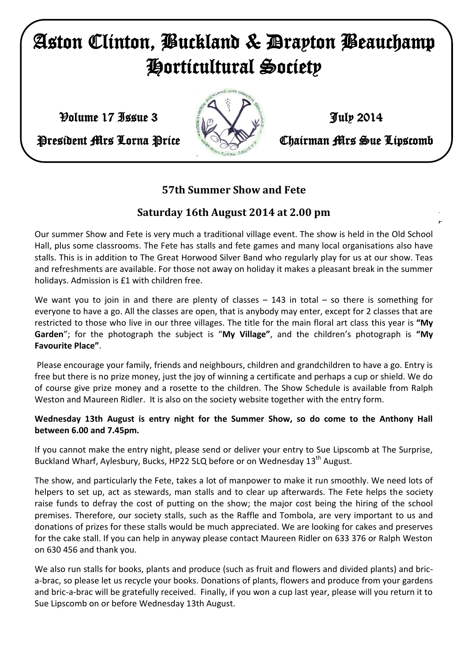# Aston Clinton, Buckland & Drayton Beauchamp Horticultural Society

 $\mathcal{V}$ olume 17 Issue 3 July 2014



President Mrs Lorna Price **Chairman Mrs Sue Lipscomb** 

# **57th Summer Show and Fete**

# **Saturday 16th August 2014 at 2.00 pm**

Our summer Show and Fete is very much a traditional village event. The show is held in the Old School Hall, plus some classrooms. The Fete has stalls and fete games and many local organisations also have stalls. This is in addition to The Great Horwood Silver Band who regularly play for us at our show. Teas and refreshments are available. For those not away on holiday it makes a pleasant break in the summer holidays. Admission is £1 with children free.

We want you to join in and there are plenty of classes - 143 in total - so there is something for everyone to have a go. All the classes are open, that is anybody may enter, except for 2 classes that are restricted to those who live in our three villages. The title for the main floral art class this year is **"My Garden**"; for the photograph the subject is "**My Village"**, and the children's photograph is **"My Favourite Place"**.

Please encourage your family, friends and neighbours, children and grandchildren to have a go. Entry is free but there is no prize money, just the joy of winning a certificate and perhaps a cup or shield. We do of course give prize money and a rosette to the children. The Show Schedule is available from Ralph Weston and Maureen Ridler. It is also on the society website together with the entry form.

## **Wednesday 13th August is entry night for the Summer Show, so do come to the Anthony Hall between 6.00 and 7.45pm.**

If you cannot make the entry night, please send or deliver your entry to Sue Lipscomb at The Surprise, Buckland Wharf, Aylesbury, Bucks, HP22 5LQ before or on Wednesday 13<sup>th</sup> August.

The show, and particularly the Fete, takes a lot of manpower to make it run smoothly. We need lots of helpers to set up, act as stewards, man stalls and to clear up afterwards. The Fete helps the society raise funds to defray the cost of putting on the show; the major cost being the hiring of the school premises. Therefore, our society stalls, such as the Raffle and Tombola, are very important to us and donations of prizes for these stalls would be much appreciated. We are looking for cakes and preserves for the cake stall. If you can help in anyway please contact Maureen Ridler on 633 376 or Ralph Weston on 630 456 and thank you.

We also run stalls for books, plants and produce (such as fruit and flowers and divided plants) and brica-brac, so please let us recycle your books. Donations of plants, flowers and produce from your gardens and bric-a-brac will be gratefully received. Finally, if you won a cup last year, please will you return it to Sue Lipscomb on or before Wednesday 13th August.